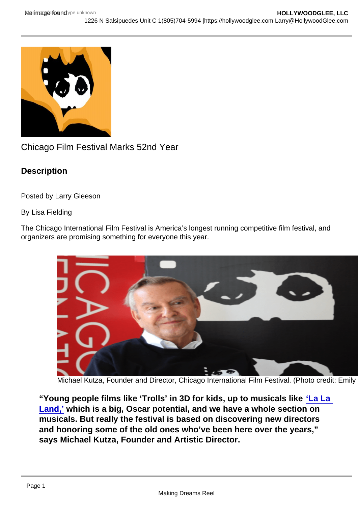## Chicago Film Festival Marks 52nd Year

**Description** 

Posted by Larry Gleeson

By Lisa Fielding

The Chicago International Film Festival is America's longest running competitive film festival, and organizers are promising something for everyone this year.

Michael Kutza, Founder and Director, Chicago International Film Festival. (Photo credit: Emily

"Young people films like 'Trolls' in 3D for kids, up to musicals like 'La La [Land,'](http://sbccfilmreviews.org/?p=36776) which is a big, Oscar potential, and we have a whole section on musicals. But really the festival is based on discovering new directors and honoring some of the old ones who've been here over the years," says Michael Kutza, Founder and Artistic Director.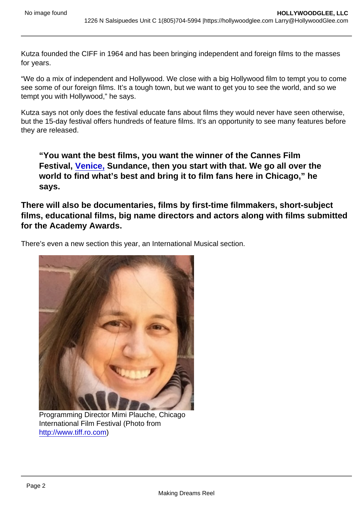Kutza founded the CIFF in 1964 and has been bringing independent and foreign films to the masses for years.

"We do a mix of independent and Hollywood. We close with a big Hollywood film to tempt you to come see some of our foreign films. It's a tough town, but we want to get you to see the world, and so we tempt you with Hollywood," he says.

Kutza says not only does the festival educate fans about films they would never have seen otherwise, but the 15-day festival offers hundreds of feature films. It's an opportunity to see many features before they are released.

"You want the best films, you want the winner of the Cannes Film Festival, [Venice,](https://hollywoodglee.com/2016/09/11/venice-continues-to-mesmerize/) Sundance, then you start with that. We go all over the world to find what's best and bring it to film fans here in Chicago," he says.

There will also be documentaries, films by first-time filmmakers, short-subject films, educational films, big name directors and actors along with films submitted for the Academy Awards.

There's even a new section this year, an International Musical section.

Programming Director Mimi Plauche, Chicago International Film Festival (Photo from <http://www.tiff.ro.com>)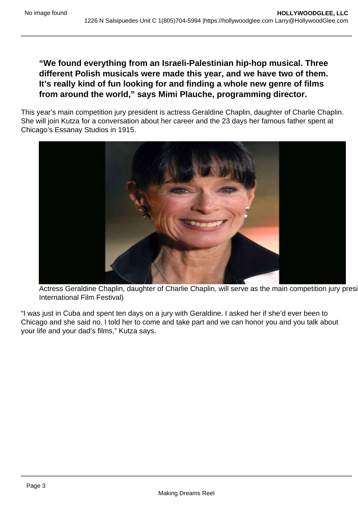## **"We found everything from an Israeli-Palestinian hip-hop musical. Three different Polish musicals were made this year, and we have two of them. It's really kind of fun looking for and finding a whole new genre of films from around the world," says Mimi Plauche, programming director.**

This year's main competition jury president is actress Geraldine Chaplin, daughter of Charlie Chaplin. She will join Kutza for a conversation about her career and the 23 days her famous father spent at Chicago's Essanay Studios in 1915.



Actress Geraldine Chaplin, daughter of Charlie Chaplin, will serve as the main competition jury presi International Film Festival)

"I was just in Cuba and spent ten days on a jury with Geraldine. I asked her if she'd ever been to Chicago and she said no. I told her to come and take part and we can honor you and you talk about your life and your dad's films," Kutza says.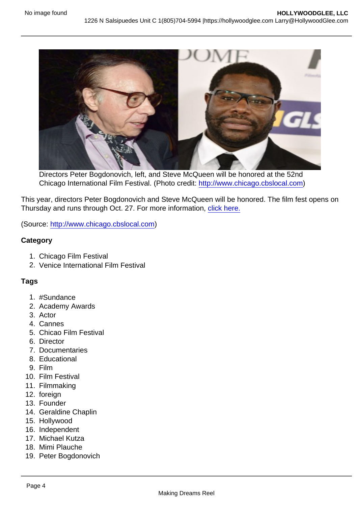Directors Peter Bogdonovich, left, and Steve McQueen will be honored at the 52nd Chicago International Film Festival. (Photo credit: [http://www.chicago.cbslocal.com\)](http://www.chicago.cbslocal.com)

This year, directors Peter Bogdonovich and Steve McQueen will be honored. The film fest opens on Thursday and runs through Oct. 27. For more information, [click here.](http://www.chicagofilmfestival.com/)

(Source: <http://www.chicago.cbslocal.com>)

**Category** 

- 1. Chicago Film Festival
- 2. Venice International Film Festival

## Tags

- 1. #Sundance
- 2. Academy Awards
- 3. Actor
- 4. Cannes
- 5. Chicao Film Festival
- 6. Director
- 7. Documentaries
- 8. Educational
- 9. Film
- 10. Film Festival
- 11. Filmmaking
- 12. foreign
- 13. Founder
- 14. Geraldine Chaplin
- 15. Hollywood
- 16. Independent
- 17. Michael Kutza
- 18. Mimi Plauche
- 19. Peter Bogdonovich